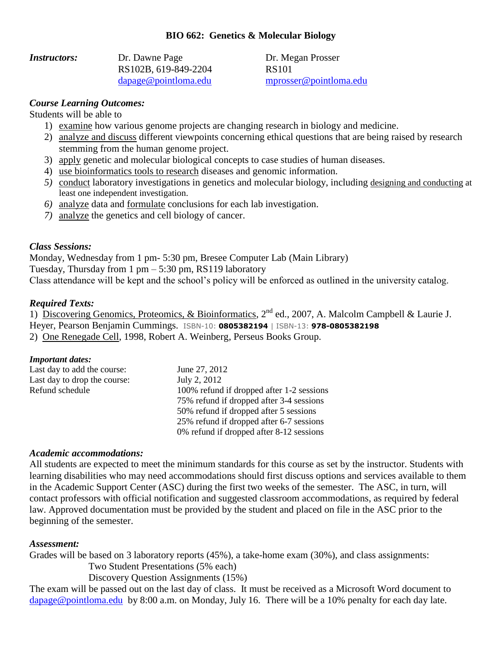# **BIO 662: Genetics & Molecular Biology**

| <i><b>Instructors:</b></i> | Dr. Dawne Page                |
|----------------------------|-------------------------------|
|                            | RS102B, 619-849-2204          |
|                            | $\text{dapage@pointloma.edu}$ |

Dr. Megan Prosser RS101 [dapage@pointloma.edu](mailto:dapage@pointloma.edu) [mprosser@pointloma.edu](mailto:mprosser@pointloma.edu)

### *Course Learning Outcomes:*

Students will be able to

- 1) examine how various genome projects are changing research in biology and medicine.
- 2) analyze and discuss different viewpoints concerning ethical questions that are being raised by research stemming from the human genome project.
- 3) apply genetic and molecular biological concepts to case studies of human diseases.
- 4) use bioinformatics tools to research diseases and genomic information.
- *5)* conduct laboratory investigations in genetics and molecular biology, including designing and conducting at least one independent investigation.
- *6)* analyze data and formulate conclusions for each lab investigation.
- *7)* analyze the genetics and cell biology of cancer.

#### *Class Sessions:*

Monday, Wednesday from 1 pm- 5:30 pm, Bresee Computer Lab (Main Library) Tuesday, Thursday from 1 pm – 5:30 pm, RS119 laboratory Class attendance will be kept and the school's policy will be enforced as outlined in the university catalog.

### *Required Texts:*

1) Discovering Genomics, Proteomics, & Bioinformatics, 2<sup>nd</sup> ed., 2007, A. Malcolm Campbell & Laurie J. Heyer, Pearson Benjamin Cummings. ISBN-10: **0805382194** | ISBN-13: **978-0805382198** 2) One Renegade Cell, 1998, Robert A. Weinberg, Perseus Books Group.

#### *Important dates:*

| Last day to add the course:  | June 27, 2012                             |
|------------------------------|-------------------------------------------|
| Last day to drop the course: | July 2, 2012                              |
| Refund schedule              | 100% refund if dropped after 1-2 sessions |
|                              | 75% refund if dropped after 3-4 sessions  |
|                              | 50% refund if dropped after 5 sessions    |
|                              | 25% refund if dropped after 6-7 sessions  |
|                              | 0% refund if dropped after 8-12 sessions  |

#### *Academic accommodations:*

All students are expected to meet the minimum standards for this course as set by the instructor. Students with learning disabilities who may need accommodations should first discuss options and services available to them in the Academic Support Center (ASC) during the first two weeks of the semester. The ASC, in turn, will contact professors with official notification and suggested classroom accommodations, as required by federal law. Approved documentation must be provided by the student and placed on file in the ASC prior to the beginning of the semester.

#### *Assessment:*

Grades will be based on 3 laboratory reports (45%), a take-home exam (30%), and class assignments:

Two Student Presentations (5% each)

Discovery Question Assignments (15%)

The exam will be passed out on the last day of class. It must be received as a Microsoft Word document to [dapage@pointloma.edu](mailto:dapage@pointloma.edu) by 8:00 a.m. on Monday, July 16. There will be a 10% penalty for each day late.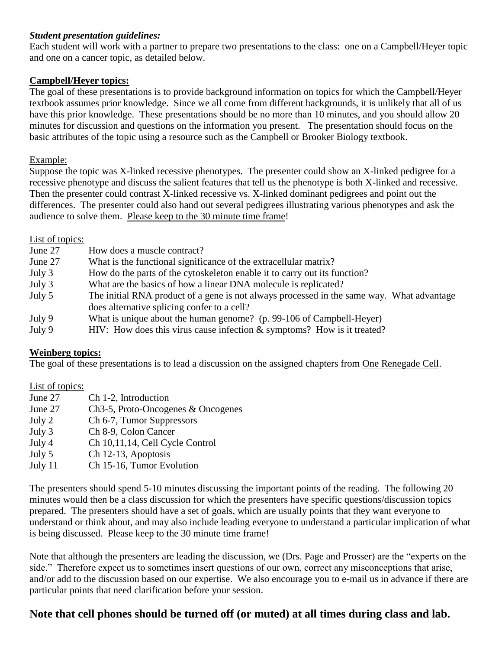# *Student presentation guidelines:*

Each student will work with a partner to prepare two presentations to the class: one on a Campbell/Heyer topic and one on a cancer topic, as detailed below.

# **Campbell/Heyer topics:**

The goal of these presentations is to provide background information on topics for which the Campbell/Heyer textbook assumes prior knowledge. Since we all come from different backgrounds, it is unlikely that all of us have this prior knowledge. These presentations should be no more than 10 minutes, and you should allow 20 minutes for discussion and questions on the information you present. The presentation should focus on the basic attributes of the topic using a resource such as the Campbell or Brooker Biology textbook.

### Example:

Suppose the topic was X-linked recessive phenotypes. The presenter could show an X-linked pedigree for a recessive phenotype and discuss the salient features that tell us the phenotype is both X-linked and recessive. Then the presenter could contrast X-linked recessive vs. X-linked dominant pedigrees and point out the differences. The presenter could also hand out several pedigrees illustrating various phenotypes and ask the audience to solve them. Please keep to the 30 minute time frame!

# List of topics:

| June 27 | How does a muscle contract?                                                               |
|---------|-------------------------------------------------------------------------------------------|
| June 27 | What is the functional significance of the extracellular matrix?                          |
| July 3  | How do the parts of the cytoskeleton enable it to carry out its function?                 |
| July 3  | What are the basics of how a linear DNA molecule is replicated?                           |
| July 5  | The initial RNA product of a gene is not always processed in the same way. What advantage |
|         | does alternative splicing confer to a cell?                                               |
| July 9  | What is unique about the human genome? (p. 99-106 of Campbell-Heyer)                      |
| July 9  | HIV: How does this virus cause infection $\&$ symptoms? How is it treated?                |

#### **Weinberg topics:**

The goal of these presentations is to lead a discussion on the assigned chapters from One Renegade Cell.

# List of topics:

- June 27 Ch 1-2, Introduction
- June 27 Ch3-5, Proto-Oncogenes & Oncogenes
- July 2 Ch 6-7, Tumor Suppressors
- July 3 Ch 8-9, Colon Cancer
- July 4 Ch 10,11,14, Cell Cycle Control
- July 5 Ch 12-13, Apoptosis
- July 11 Ch 15-16, Tumor Evolution

The presenters should spend 5-10 minutes discussing the important points of the reading. The following 20 minutes would then be a class discussion for which the presenters have specific questions/discussion topics prepared. The presenters should have a set of goals, which are usually points that they want everyone to understand or think about, and may also include leading everyone to understand a particular implication of what is being discussed. Please keep to the 30 minute time frame!

Note that although the presenters are leading the discussion, we (Drs. Page and Prosser) are the "experts on the side." Therefore expect us to sometimes insert questions of our own, correct any misconceptions that arise, and/or add to the discussion based on our expertise. We also encourage you to e-mail us in advance if there are particular points that need clarification before your session.

# **Note that cell phones should be turned off (or muted) at all times during class and lab.**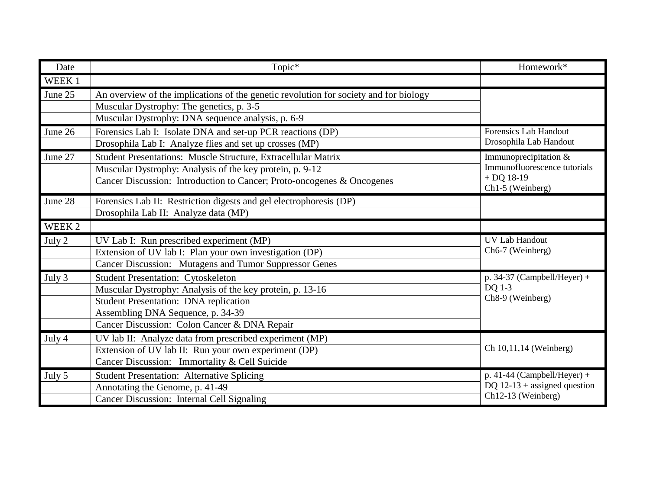| Date    | Topic*                                                                                | Homework*                                 |
|---------|---------------------------------------------------------------------------------------|-------------------------------------------|
| WEEK 1  |                                                                                       |                                           |
| June 25 | An overview of the implications of the genetic revolution for society and for biology |                                           |
|         | Muscular Dystrophy: The genetics, p. 3-5                                              |                                           |
|         | Muscular Dystrophy: DNA sequence analysis, p. 6-9                                     |                                           |
| June 26 | Forensics Lab I: Isolate DNA and set-up PCR reactions (DP)                            | <b>Forensics Lab Handout</b>              |
|         | Drosophila Lab I: Analyze flies and set up crosses (MP)                               | Drosophila Lab Handout                    |
| June 27 | Student Presentations: Muscle Structure, Extracellular Matrix                         | Immunoprecipitation &                     |
|         | Muscular Dystrophy: Analysis of the key protein, p. 9-12                              | Immunofluorescence tutorials              |
|         | Cancer Discussion: Introduction to Cancer; Proto-oncogenes & Oncogenes                | $+$ DQ 18-19<br>Ch1-5 (Weinberg)          |
| June 28 | Forensics Lab II: Restriction digests and gel electrophoresis (DP)                    |                                           |
|         | Drosophila Lab II: Analyze data (MP)                                                  |                                           |
| WEEK 2  |                                                                                       |                                           |
| July 2  | UV Lab I: Run prescribed experiment (MP)                                              | <b>UV Lab Handout</b>                     |
|         | Extension of UV lab I: Plan your own investigation (DP)                               | Ch6-7 (Weinberg)                          |
|         | Cancer Discussion: Mutagens and Tumor Suppressor Genes                                |                                           |
| July 3  | <b>Student Presentation: Cytoskeleton</b>                                             | p. 34-37 (Campbell/Heyer) +               |
|         | Muscular Dystrophy: Analysis of the key protein, p. 13-16                             | DQ 1-3                                    |
|         | <b>Student Presentation: DNA replication</b>                                          | Ch8-9 (Weinberg)                          |
|         | Assembling DNA Sequence, p. 34-39                                                     |                                           |
|         | Cancer Discussion: Colon Cancer & DNA Repair                                          |                                           |
| July 4  | UV lab II: Analyze data from prescribed experiment (MP)                               |                                           |
|         | Extension of UV lab II: Run your own experiment (DP)                                  | Ch 10,11,14 (Weinberg)                    |
|         | Cancer Discussion: Immortality & Cell Suicide                                         |                                           |
| July 5  | <b>Student Presentation: Alternative Splicing</b>                                     | $\overline{p. 41}$ -44 (Campbell/Heyer) + |
|         | Annotating the Genome, p. 41-49                                                       | DQ $12-13$ + assigned question            |
|         | Cancer Discussion: Internal Cell Signaling                                            | Ch12-13 (Weinberg)                        |